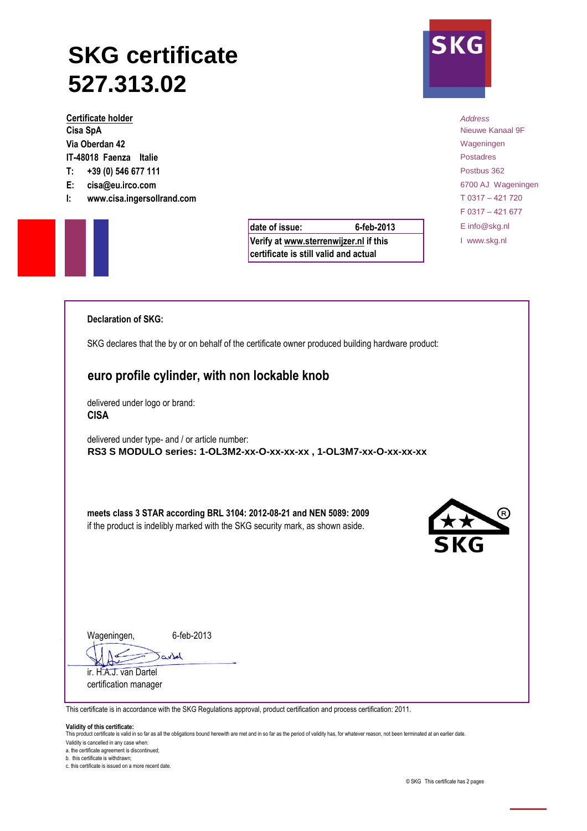## **SKG certificate 527.313.02**

**Certificate holder** *Address* **Cisa SpA** Nieuwe Kanaal 9F **Via Oberdan 42** Wageningen **Via Oberdan 42** Wageningen **IT-48018 Faenza Italie** Postadres **T: +39 (0) 546 677 111** Postbus 362 **E: cisa@eu.irco.com** 6700 AJ Wageningen

**I: www.cisa.ingersollrand.com** T 0317 – 421 720

**6-feb-2013**

**Verify at www.sterrenwijzer.nl if this certificate is still valid and actual**

F 0317 – 421 677 date of issue: **6-feb-2013** Einfo@skg.nl I www.skg.nl

| <b>Declaration of SKG:</b>                                                                                                                                   |
|--------------------------------------------------------------------------------------------------------------------------------------------------------------|
| SKG declares that the by or on behalf of the certificate owner produced building hardware product:                                                           |
| euro profile cylinder, with non lockable knob                                                                                                                |
| delivered under logo or brand:<br><b>CISA</b>                                                                                                                |
| delivered under type- and / or article number:<br>RS3 S MODULO series: 1-OL3M2-xx-O-xx-xx-xx, 1-OL3M7-xx-O-xx-xx-xx                                          |
| meets class 3 STAR according BRL 3104: 2012-08-21 and NEN 5089: 2009<br>XX<br>if the product is indelibly marked with the SKG security mark, as shown aside. |
| Wageningen,<br>6-feb-2013<br>artel<br>ir. H.A.J. van Dartel<br>certification manager                                                                         |
| This certificate is in accordance with the SKG Regulations approval, product certification and process certification: 2011.                                  |

**Validity of this certificate:**

This product certificate is valid in so far as all the obligations bound herewith are met and in so far as the period of validity has, for whatever reason, not been terminated at an earlier date.

Validity is cancelled in any case when: a. the certificate agreement is discontinued;

b. this certificate is withdrawn;